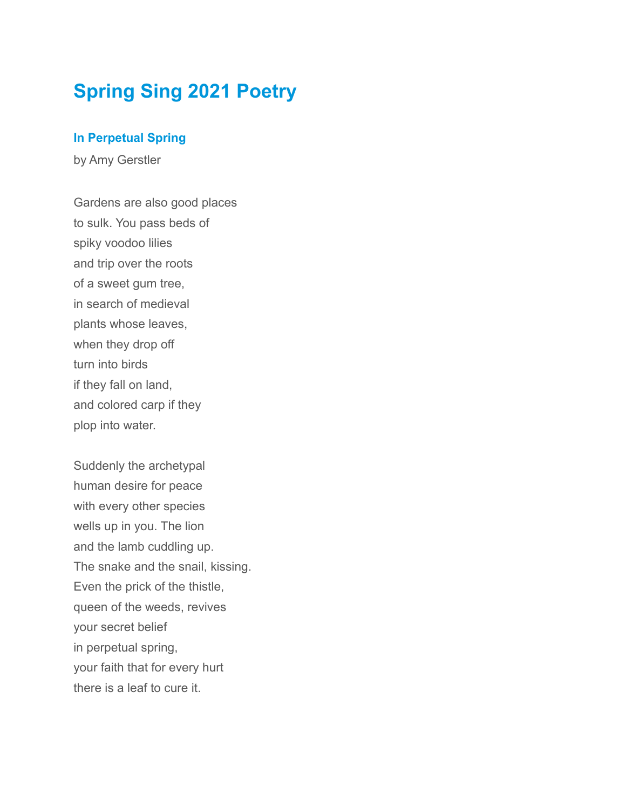# **Spring Sing 2021 Poetry**

## **In Perpetual Spring**

by Amy Gerstler

Gardens are also good places to sulk. You pass beds of spiky voodoo lilies and trip over the roots of a sweet gum tree, in search of medieval plants whose leaves, when they drop off turn into birds if they fall on land, and colored carp if they plop into water.

Suddenly the archetypal human desire for peace with every other species wells up in you. The lion and the lamb cuddling up. The snake and the snail, kissing. Even the prick of the thistle, queen of the weeds, revives your secret belief in perpetual spring, your faith that for every hurt there is a leaf to cure it.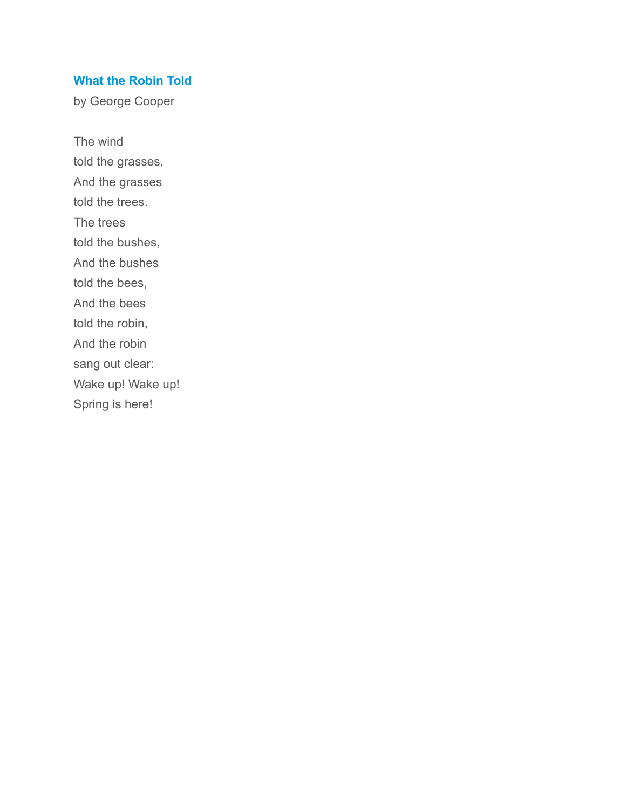### **What the Robin Told**

by George Cooper

The wind told the grasses, And the grasses told the trees. The trees told the bushes, And the bushes told the bees, And the bees told the robin, And the robin sang out clear: Wake up! Wake up! Spring is here!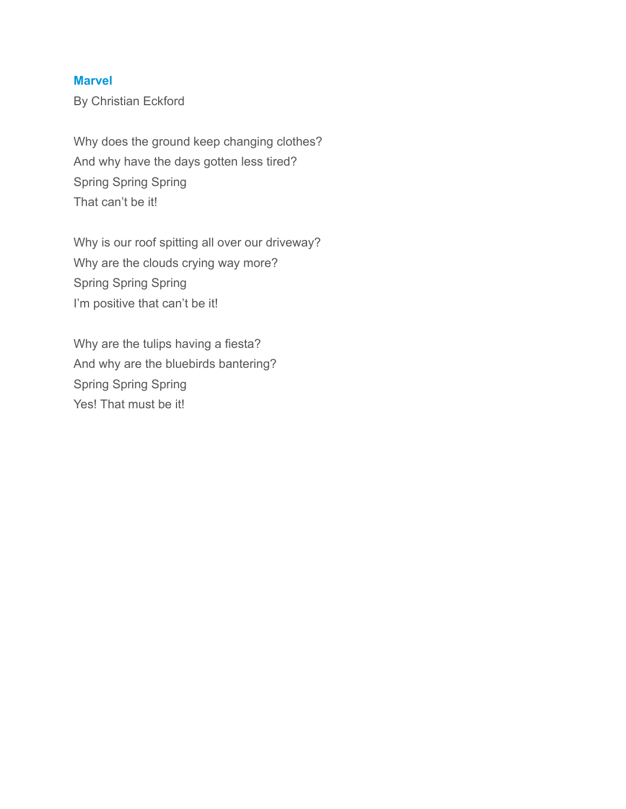## **Marvel**

By Christian Eckford

Why does the ground keep changing clothes? And why have the days gotten less tired? Spring Spring Spring That can't be it!

Why is our roof spitting all over our driveway? Why are the clouds crying way more? Spring Spring Spring I'm positive that can't be it!

Why are the tulips having a fiesta? And why are the bluebirds bantering? Spring Spring Spring Yes! That must be it!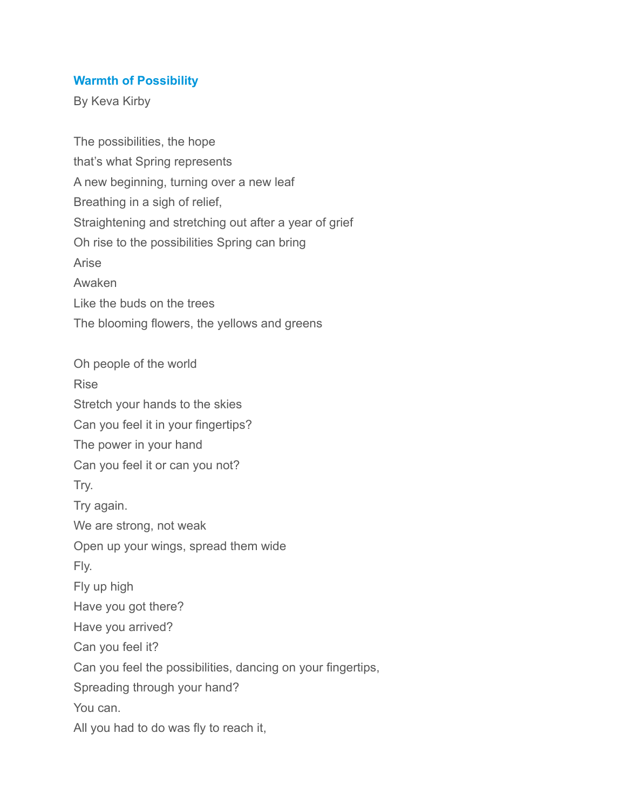#### **Warmth of Possibility**

By Keva Kirby

The possibilities, the hope that's what Spring represents A new beginning, turning over a new leaf Breathing in a sigh of relief, Straightening and stretching out after a year of grief Oh rise to the possibilities Spring can bring Arise Awaken Like the buds on the trees The blooming flowers, the yellows and greens Oh people of the world Rise Stretch your hands to the skies Can you feel it in your fingertips? The power in your hand Can you feel it or can you not? Try. Try again. We are strong, not weak Open up your wings, spread them wide Fly. Fly up high Have you got there? Have you arrived? Can you feel it? Can you feel the possibilities, dancing on your fingertips, Spreading through your hand? You can. All you had to do was fly to reach it,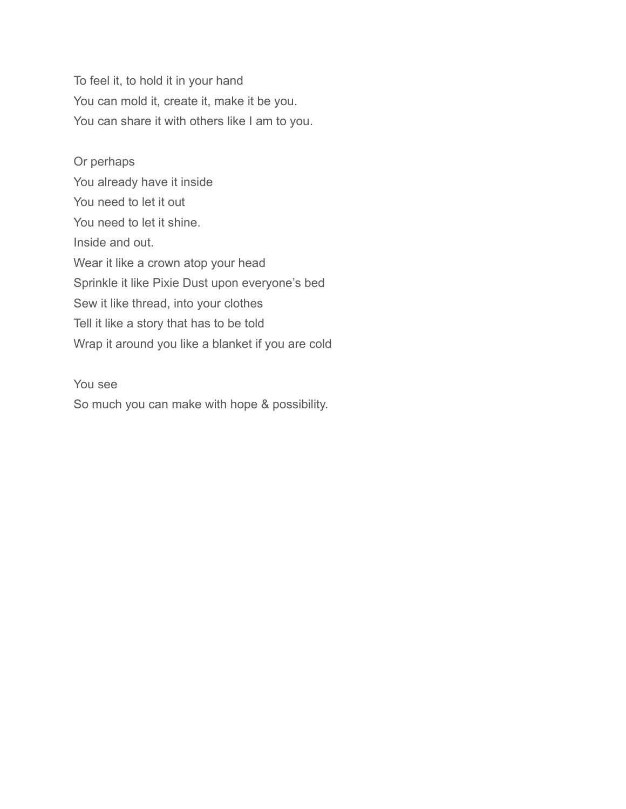To feel it, to hold it in your hand You can mold it, create it, make it be you. You can share it with others like I am to you.

Or perhaps You already have it inside You need to let it out You need to let it shine. Inside and out. Wear it like a crown atop your head Sprinkle it like Pixie Dust upon everyone's bed Sew it like thread, into your clothes Tell it like a story that has to be told Wrap it around you like a blanket if you are cold

You see So much you can make with hope & possibility.